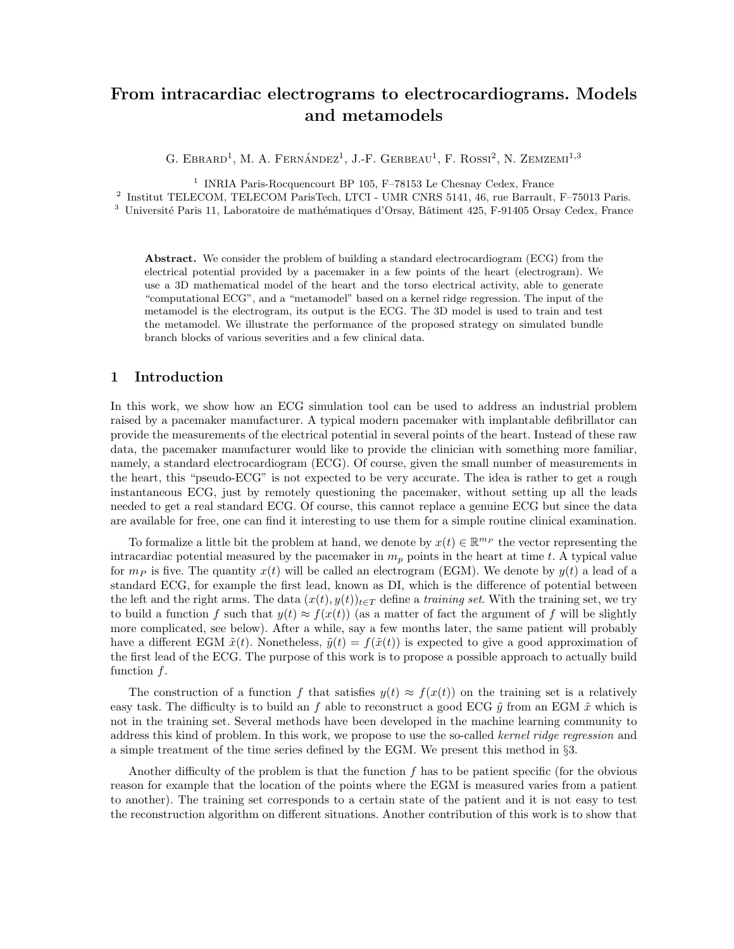# From intracardiac electrograms to electrocardiograms. Models and metamodels

G. EBRARD<sup>1</sup>, M. A. FERNÁNDEZ<sup>1</sup>, J.-F. GERBEAU<sup>1</sup>, F. ROSSI<sup>2</sup>, N. ZEMZEMI<sup>1,3</sup>

<sup>1</sup> INRIA Paris-Rocquencourt BP 105, F-78153 Le Chesnay Cedex, France

2 Institut TELECOM, TELECOM ParisTech, LTCI - UMR CNRS 5141, 46, rue Barrault, F–75013 Paris.

<sup>3</sup> Université Paris 11, Laboratoire de mathématiques d'Orsay, Bâtiment 425, F-91405 Orsay Cedex, France

Abstract. We consider the problem of building a standard electrocardiogram (ECG) from the electrical potential provided by a pacemaker in a few points of the heart (electrogram). We use a 3D mathematical model of the heart and the torso electrical activity, able to generate "computational ECG", and a "metamodel" based on a kernel ridge regression. The input of the metamodel is the electrogram, its output is the ECG. The 3D model is used to train and test the metamodel. We illustrate the performance of the proposed strategy on simulated bundle branch blocks of various severities and a few clinical data.

# 1 Introduction

In this work, we show how an ECG simulation tool can be used to address an industrial problem raised by a pacemaker manufacturer. A typical modern pacemaker with implantable defibrillator can provide the measurements of the electrical potential in several points of the heart. Instead of these raw data, the pacemaker manufacturer would like to provide the clinician with something more familiar, namely, a standard electrocardiogram (ECG). Of course, given the small number of measurements in the heart, this "pseudo-ECG" is not expected to be very accurate. The idea is rather to get a rough instantaneous ECG, just by remotely questioning the pacemaker, without setting up all the leads needed to get a real standard ECG. Of course, this cannot replace a genuine ECG but since the data are available for free, one can find it interesting to use them for a simple routine clinical examination.

To formalize a little bit the problem at hand, we denote by  $x(t) \in \mathbb{R}^{m_P}$  the vector representing the intracardiac potential measured by the pacemaker in  $m_p$  points in the heart at time t. A typical value for  $m_P$  is five. The quantity  $x(t)$  will be called an electrogram (EGM). We denote by  $y(t)$  a lead of a standard ECG, for example the first lead, known as DI, which is the difference of potential between the left and the right arms. The data  $(x(t), y(t))_{t \in T}$  define a training set. With the training set, we try to build a function f such that  $y(t) \approx f(x(t))$  (as a matter of fact the argument of f will be slightly more complicated, see below). After a while, say a few months later, the same patient will probably have a different EGM  $\tilde{x}(t)$ . Nonetheless,  $\tilde{y}(t) = f(\tilde{x}(t))$  is expected to give a good approximation of the first lead of the ECG. The purpose of this work is to propose a possible approach to actually build function f.

The construction of a function f that satisfies  $y(t) \approx f(x(t))$  on the training set is a relatively easy task. The difficulty is to build an f able to reconstruct a good ECG  $\tilde{\eta}$  from an EGM  $\tilde{x}$  which is not in the training set. Several methods have been developed in the machine learning community to address this kind of problem. In this work, we propose to use the so-called kernel ridge regression and a simple treatment of the time series defined by the EGM. We present this method in §3.

Another difficulty of the problem is that the function f has to be patient specific (for the obvious reason for example that the location of the points where the EGM is measured varies from a patient to another). The training set corresponds to a certain state of the patient and it is not easy to test the reconstruction algorithm on different situations. Another contribution of this work is to show that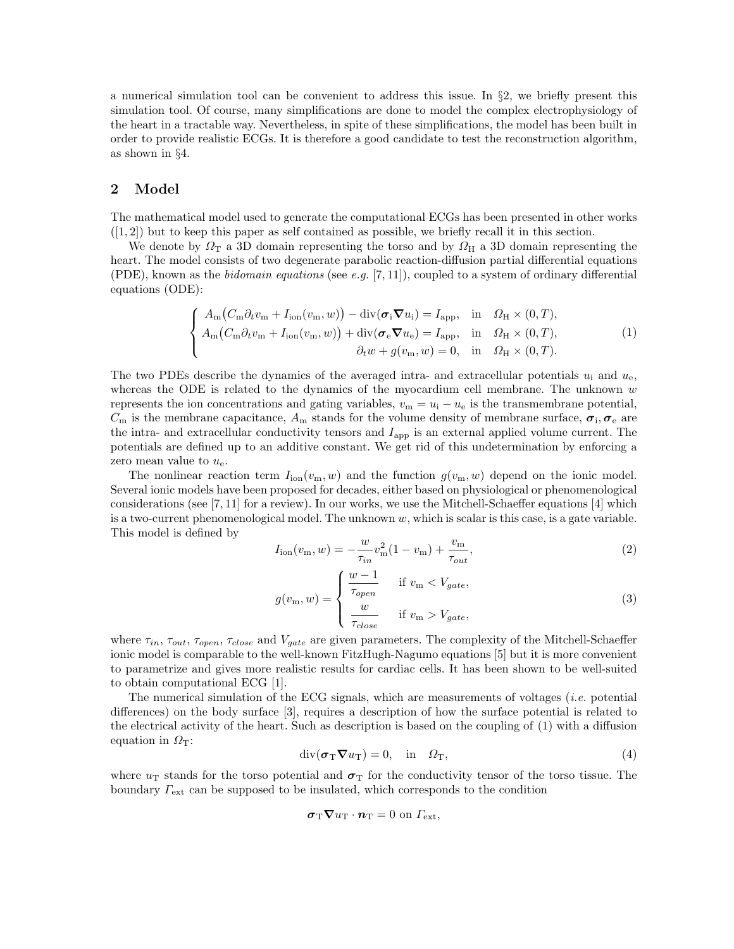a numerical simulation tool can be convenient to address this issue. In §2, we briefly present this simulation tool. Of course, many simplifications are done to model the complex electrophysiology of the heart in a tractable way. Nevertheless, in spite of these simplifications, the model has been built in order to provide realistic ECGs. It is therefore a good candidate to test the reconstruction algorithm, as shown in §4.

# 2 Model

The mathematical model used to generate the computational ECGs has been presented in other works  $([1, 2])$  but to keep this paper as self contained as possible, we briefly recall it in this section.

We denote by  $\Omega_{\rm T}$  a 3D domain representing the torso and by  $\Omega_{\rm H}$  a 3D domain representing the heart. The model consists of two degenerate parabolic reaction-diffusion partial differential equations (PDE), known as the *bidomain equations* (see e.g. [7, 11]), coupled to a system of ordinary differential equations (ODE):

$$
\begin{cases}\nA_m(C_m \partial_t v_m + I_{\text{ion}}(v_m, w)) - \text{div}(\boldsymbol{\sigma}_i \boldsymbol{\nabla} u_i) = I_{\text{app}}, & \text{in} \quad \Omega_H \times (0, T), \\
A_m(C_m \partial_t v_m + I_{\text{ion}}(v_m, w)) + \text{div}(\boldsymbol{\sigma}_e \boldsymbol{\nabla} u_e) = I_{\text{app}}, & \text{in} \quad \Omega_H \times (0, T), \\
\partial_t w + g(v_m, w) = 0, & \text{in} \quad \Omega_H \times (0, T).\n\end{cases}
$$
\n(1)

The two PDEs describe the dynamics of the averaged intra- and extracellular potentials  $u_i$  and  $u_e$ , whereas the ODE is related to the dynamics of the myocardium cell membrane. The unknown  $w$ represents the ion concentrations and gating variables,  $v_m = u_i - u_e$  is the transmembrane potential,  $C_{\rm m}$  is the membrane capacitance,  $A_{\rm m}$  stands for the volume density of membrane surface,  $\sigma_i$ ,  $\sigma_{\rm e}$  are the intra- and extracellular conductivity tensors and  $I_{\rm app}$  is an external applied volume current. The potentials are defined up to an additive constant. We get rid of this undetermination by enforcing a zero mean value to  $u_{e}$ .

The nonlinear reaction term  $I_{\text{ion}}(v_m, w)$  and the function  $g(v_m, w)$  depend on the ionic model. Several ionic models have been proposed for decades, either based on physiological or phenomenological considerations (see  $[7, 11]$  for a review). In our works, we use the Mitchell-Schaeffer equations  $[4]$  which is a two-current phenomenological model. The unknown  $w$ , which is scalar is this case, is a gate variable. This model is defined by

$$
I_{\rm ion}(v_{\rm m}, w) = -\frac{w}{\tau_{in}}v_{\rm m}^2 (1 - v_{\rm m}) + \frac{v_{\rm m}}{\tau_{out}},
$$
\n(2)

$$
g(v_{\rm m}, w) = \begin{cases} \frac{w - 1}{\tau_{open}} & \text{if } v_{\rm m} < V_{gate}, \\ \frac{w}{\tau_{close}} & \text{if } v_{\rm m} > V_{gate}, \end{cases} \tag{3}
$$

where  $\tau_{in}$ ,  $\tau_{out}$ ,  $\tau_{open}$ ,  $\tau_{close}$  and  $V_{gate}$  are given parameters. The complexity of the Mitchell-Schaeffer ionic model is comparable to the well-known FitzHugh-Nagumo equations [5] but it is more convenient to parametrize and gives more realistic results for cardiac cells. It has been shown to be well-suited to obtain computational ECG [1].

The numerical simulation of the ECG signals, which are measurements of voltages (i.e. potential differences) on the body surface [3], requires a description of how the surface potential is related to the electrical activity of the heart. Such as description is based on the coupling of (1) with a diffusion equation in  $\Omega$ <sub>T</sub>:

$$
\operatorname{div}(\boldsymbol{\sigma}_{\mathrm{T}}\boldsymbol{\nabla}u_{\mathrm{T}})=0, \quad \text{in} \quad \Omega_{\mathrm{T}}, \tag{4}
$$

where  $u_T$  stands for the torso potential and  $\sigma_T$  for the conductivity tensor of the torso tissue. The boundary  $\Gamma_{\text{ext}}$  can be supposed to be insulated, which corresponds to the condition

$$
\boldsymbol{\sigma}_{\mathrm{T}} \boldsymbol{\nabla} u_{\mathrm{T}} \cdot \boldsymbol{n}_{\mathrm{T}} = 0 \text{ on } \Gamma_{\mathrm{ext}},
$$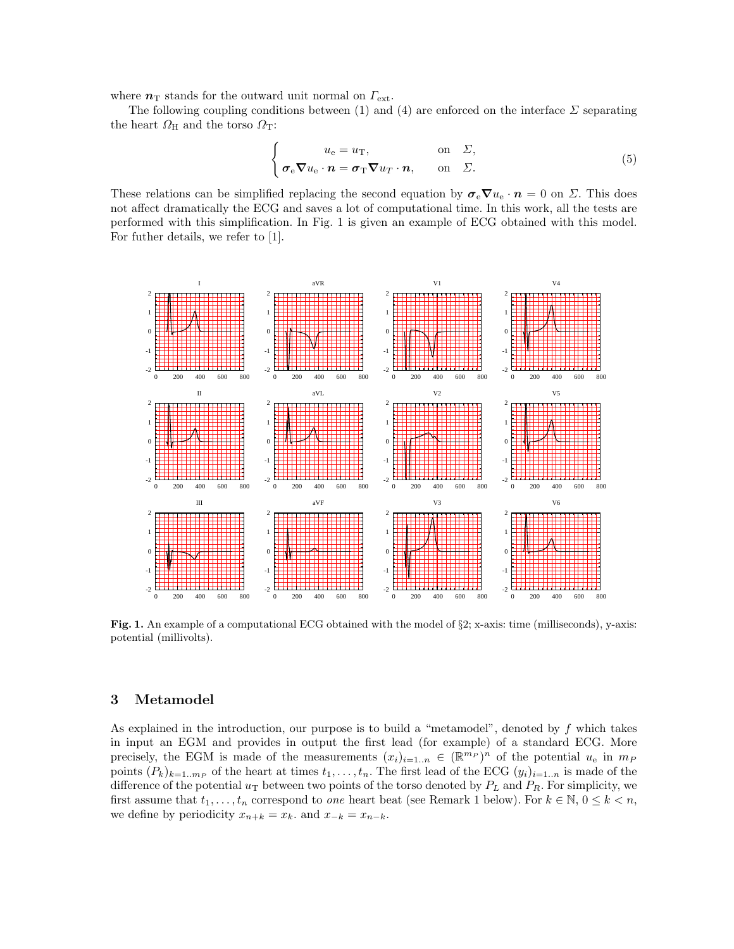where  $n<sub>T</sub>$  stands for the outward unit normal on  $\Gamma_{\text{ext}}$ .

The following coupling conditions between (1) and (4) are enforced on the interface  $\Sigma$  separating the heart  $\Omega_H$  and the torso  $\Omega_T$ :

$$
\begin{cases}\n u_{e} = u_{T}, & \text{on } \Sigma, \\
 \sigma_{e} \nabla u_{e} \cdot \boldsymbol{n} = \sigma_{T} \nabla u_{T} \cdot \boldsymbol{n}, & \text{on } \Sigma.\n\end{cases}
$$
\n(5)

These relations can be simplified replacing the second equation by  $\sigma_{\rm e} \nabla u_{\rm e} \cdot \boldsymbol{n} = 0$  on  $\Sigma$ . This does not affect dramatically the ECG and saves a lot of computational time. In this work, all the tests are performed with this simplification. In Fig. 1 is given an example of ECG obtained with this model. For futher details, we refer to [1].



Fig. 1. An example of a computational ECG obtained with the model of §2; x-axis: time (milliseconds), y-axis: potential (millivolts).

# 3 Metamodel

As explained in the introduction, our purpose is to build a "metamodel", denoted by  $f$  which takes in input an EGM and provides in output the first lead (for example) of a standard ECG. More precisely, the EGM is made of the measurements  $(x_i)_{i=1..n} \in (\mathbb{R}^{m_P})^n$  of the potential  $u_e$  in  $m_P$ points  $(P_k)_{k=1..m_P}$  of the heart at times  $t_1, \ldots, t_n$ . The first lead of the ECG  $(y_i)_{i=1..n}$  is made of the difference of the potential  $u_T$  between two points of the torso denoted by  $P_L$  and  $P_R$ . For simplicity, we first assume that  $t_1, \ldots, t_n$  correspond to one heart beat (see Remark 1 below). For  $k \in \mathbb{N}$ ,  $0 \leq k \leq n$ , we define by periodicity  $x_{n+k} = x_k$ . and  $x_{-k} = x_{n-k}$ .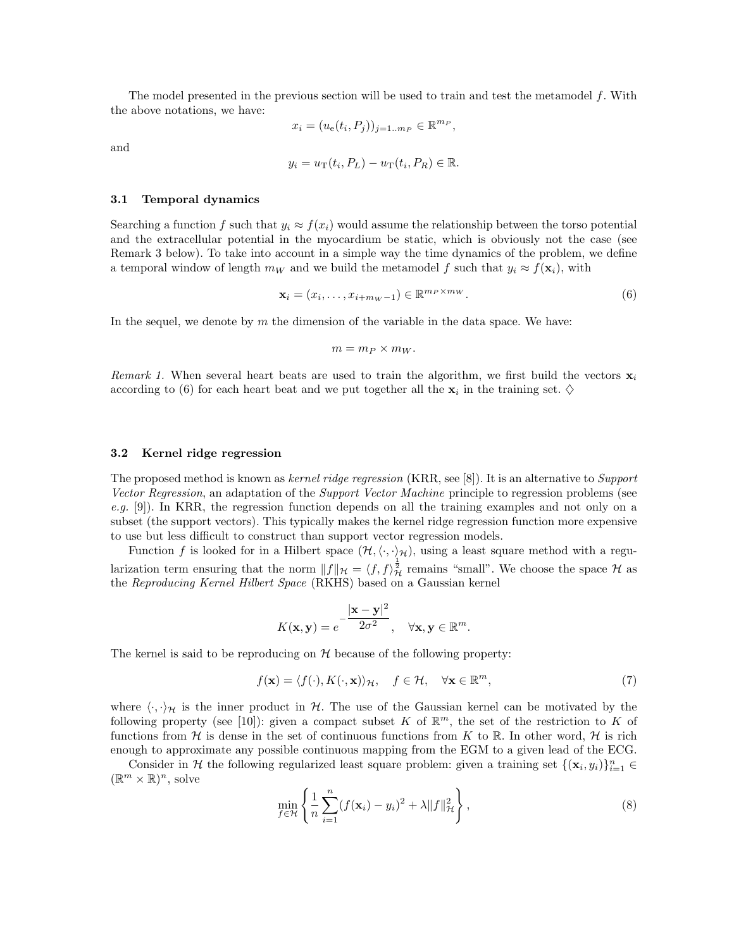The model presented in the previous section will be used to train and test the metamodel f. With the above notations, we have:

$$
x_i = (u_e(t_i, P_j))_{j=1..m_P} \in \mathbb{R}^{m_P},
$$

and

$$
y_i = u_{\rm T}(t_i, P_L) - u_{\rm T}(t_i, P_R) \in \mathbb{R}.
$$

#### 3.1 Temporal dynamics

Searching a function f such that  $y_i \approx f(x_i)$  would assume the relationship between the torso potential and the extracellular potential in the myocardium be static, which is obviously not the case (see Remark 3 below). To take into account in a simple way the time dynamics of the problem, we define a temporal window of length  $m_W$  and we build the metamodel f such that  $y_i \approx f(\mathbf{x}_i)$ , with

$$
\mathbf{x}_{i} = (x_{i}, \dots, x_{i+m_{W}-1}) \in \mathbb{R}^{m_{P} \times m_{W}}.
$$
\n
$$
(6)
$$

In the sequel, we denote by  $m$  the dimension of the variable in the data space. We have:

$$
m = m_P \times m_W.
$$

Remark 1. When several heart beats are used to train the algorithm, we first build the vectors  $\mathbf{x}_i$ according to (6) for each heart beat and we put together all the  $x_i$  in the training set.  $\diamond$ 

#### 3.2 Kernel ridge regression

The proposed method is known as kernel ridge regression (KRR, see [8]). It is an alternative to Support Vector Regression, an adaptation of the Support Vector Machine principle to regression problems (see e.g. [9]). In KRR, the regression function depends on all the training examples and not only on a subset (the support vectors). This typically makes the kernel ridge regression function more expensive to use but less difficult to construct than support vector regression models.

Function f is looked for in a Hilbert space  $(\mathcal{H},\langle\cdot,\cdot\rangle_{\mathcal{H}})$ , using a least square method with a regularization term ensuring that the norm  $||f||_{\mathcal{H}} = \langle f, f \rangle_{\mathcal{H}}^{\frac{1}{2}}$  remains "small". We choose the space  $\mathcal{H}$  as the Reproducing Kernel Hilbert Space (RKHS) based on a Gaussian kernel

$$
K(\mathbf{x}, \mathbf{y}) = e^{-\frac{|\mathbf{x} - \mathbf{y}|^2}{2\sigma^2}}, \quad \forall \mathbf{x}, \mathbf{y} \in \mathbb{R}^m.
$$

The kernel is said to be reproducing on  $H$  because of the following property:

$$
f(\mathbf{x}) = \langle f(\cdot), K(\cdot, \mathbf{x}) \rangle_{\mathcal{H}}, \quad f \in \mathcal{H}, \quad \forall \mathbf{x} \in \mathbb{R}^m,
$$
 (7)

where  $\langle \cdot, \cdot \rangle_{\mathcal{H}}$  is the inner product in H. The use of the Gaussian kernel can be motivated by the following property (see [10]): given a compact subset K of  $\mathbb{R}^m$ , the set of the restriction to K of functions from H is dense in the set of continuous functions from K to R. In other word, H is rich enough to approximate any possible continuous mapping from the EGM to a given lead of the ECG.

Consider in H the following regularized least square problem: given a training set  $\{(\mathbf{x}_i, y_i)\}_{i=1}^n \in$  $(\mathbb{R}^m \times \mathbb{R})^n$ , solve

$$
\min_{f \in \mathcal{H}} \left\{ \frac{1}{n} \sum_{i=1}^{n} (f(\mathbf{x}_i) - y_i)^2 + \lambda \|f\|_{\mathcal{H}}^2 \right\},\tag{8}
$$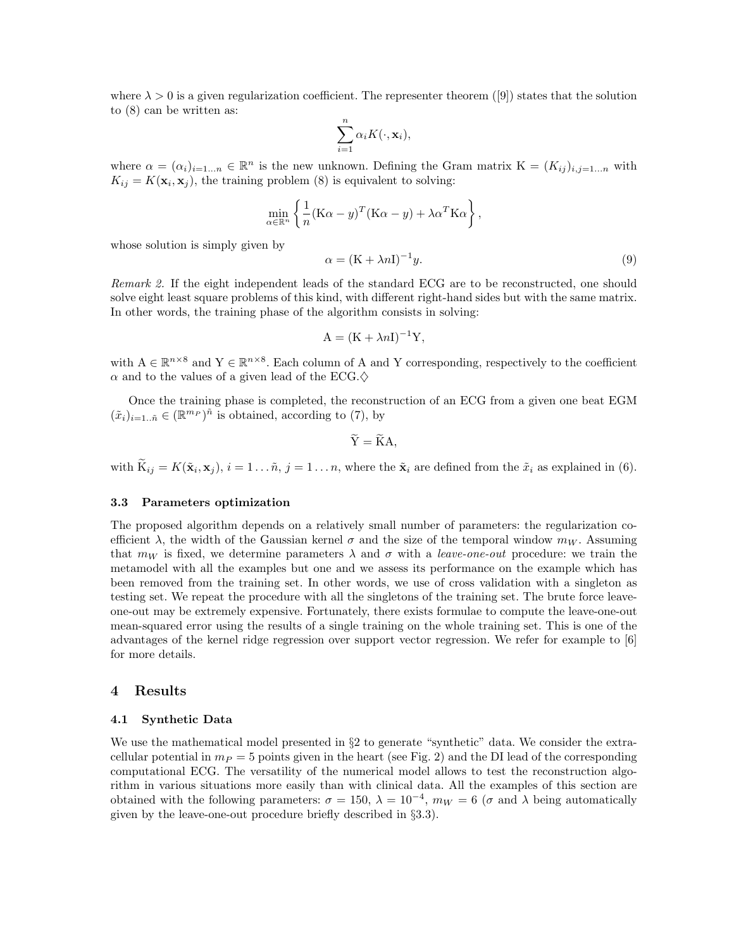where  $\lambda > 0$  is a given regularization coefficient. The representer theorem ([9]) states that the solution to (8) can be written as:

$$
\sum_{i=1}^n \alpha_i K(\cdot, \mathbf{x}_i),
$$

where  $\alpha = (\alpha_i)_{i=1...n} \in \mathbb{R}^n$  is the new unknown. Defining the Gram matrix  $K = (K_{ij})_{i,j=1...n}$  with  $K_{ij} = K(\mathbf{x}_i, \mathbf{x}_j)$ , the training problem (8) is equivalent to solving:

$$
\min_{\alpha \in \mathbb{R}^n} \left\{ \frac{1}{n} (\mathbf{K}\alpha - y)^T (\mathbf{K}\alpha - y) + \lambda \alpha^T \mathbf{K}\alpha \right\},\
$$

whose solution is simply given by

$$
\alpha = (\mathbf{K} + \lambda n \mathbf{I})^{-1} y. \tag{9}
$$

Remark 2. If the eight independent leads of the standard ECG are to be reconstructed, one should solve eight least square problems of this kind, with different right-hand sides but with the same matrix. In other words, the training phase of the algorithm consists in solving:

$$
A = (K + \lambda nI)^{-1}Y,
$$

with  $A \in \mathbb{R}^{n \times 8}$  and  $Y \in \mathbb{R}^{n \times 8}$ . Each column of A and Y corresponding, respectively to the coefficient  $\alpha$  and to the values of a given lead of the ECG. $\diamondsuit$ 

Once the training phase is completed, the reconstruction of an ECG from a given one beat EGM  $(\tilde{x}_i)_{i=1..\tilde{n}} \in (\mathbb{R}^{m_P})^{\tilde{n}}$  is obtained, according to (7), by

$$
\widetilde{Y} = \widetilde{K}A,
$$

with  $K_{ij} = K(\tilde{\mathbf{x}}_i, \mathbf{x}_j)$ ,  $i = 1 \dots \tilde{n}$ ,  $j = 1 \dots n$ , where the  $\tilde{\mathbf{x}}_i$  are defined from the  $\tilde{x}_i$  as explained in (6).

#### 3.3 Parameters optimization

The proposed algorithm depends on a relatively small number of parameters: the regularization coefficient  $\lambda$ , the width of the Gaussian kernel  $\sigma$  and the size of the temporal window  $m_W$ . Assuming that  $m_W$  is fixed, we determine parameters  $\lambda$  and  $\sigma$  with a leave-one-out procedure: we train the metamodel with all the examples but one and we assess its performance on the example which has been removed from the training set. In other words, we use of cross validation with a singleton as testing set. We repeat the procedure with all the singletons of the training set. The brute force leaveone-out may be extremely expensive. Fortunately, there exists formulae to compute the leave-one-out mean-squared error using the results of a single training on the whole training set. This is one of the advantages of the kernel ridge regression over support vector regression. We refer for example to [6] for more details.

# 4 Results

#### 4.1 Synthetic Data

We use the mathematical model presented in §2 to generate "synthetic" data. We consider the extracellular potential in  $m_P = 5$  points given in the heart (see Fig. 2) and the DI lead of the corresponding computational ECG. The versatility of the numerical model allows to test the reconstruction algorithm in various situations more easily than with clinical data. All the examples of this section are obtained with the following parameters:  $\sigma = 150$ ,  $\lambda = 10^{-4}$ ,  $m_W = 6$  ( $\sigma$  and  $\lambda$  being automatically given by the leave-one-out procedure briefly described in §3.3).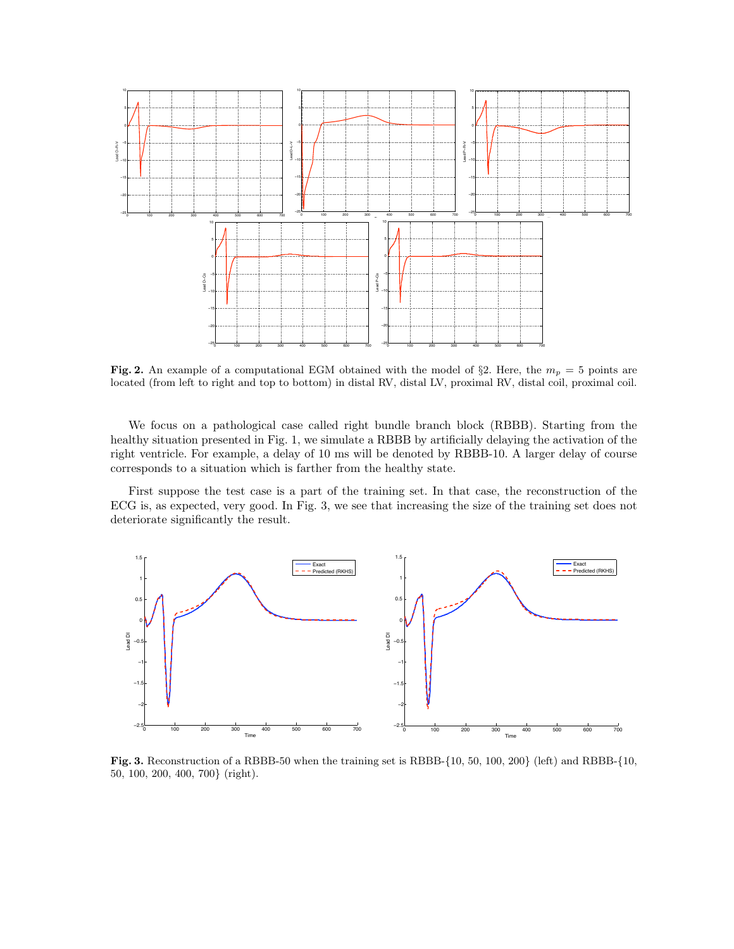

Fig. 2. An example of a computational EGM obtained with the model of §2. Here, the  $m_p = 5$  points are located (from left to right and top to bottom) in distal RV, distal LV, proximal RV, distal coil, proximal coil.

We focus on a pathological case called right bundle branch block (RBBB). Starting from the healthy situation presented in Fig. 1, we simulate a RBBB by artificially delaying the activation of the right ventricle. For example, a delay of 10 ms will be denoted by RBBB-10. A larger delay of course corresponds to a situation which is farther from the healthy state.

First suppose the test case is a part of the training set. In that case, the reconstruction of the ECG is, as expected, very good. In Fig. 3, we see that increasing the size of the training set does not deteriorate significantly the result.



Fig. 3. Reconstruction of a RBBB-50 when the training set is RBBB-{10, 50, 100, 200} (left) and RBBB-{10, 50, 100, 200, 400, 700} (right).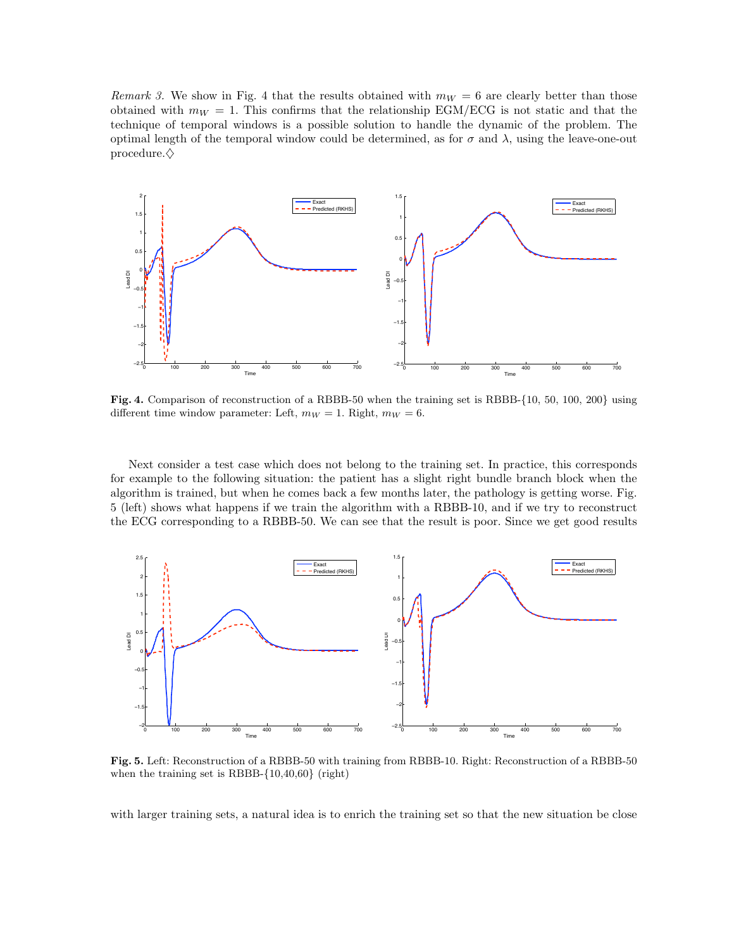Remark 3. We show in Fig. 4 that the results obtained with  $m_W = 6$  are clearly better than those obtained with  $m_W = 1$ . This confirms that the relationship EGM/ECG is not static and that the technique of temporal windows is a possible solution to handle the dynamic of the problem. The optimal length of the temporal window could be determined, as for  $\sigma$  and  $\lambda$ , using the leave-one-out procedure. $\diamondsuit$ 



Fig. 4. Comparison of reconstruction of a RBBB-50 when the training set is RBBB-{10, 50, 100, 200} using different time window parameter: Left,  $m_W = 1$ . Right,  $m_W = 6$ .

Next consider a test case which does not belong to the training set. In practice, this corresponds for example to the following situation: the patient has a slight right bundle branch block when the algorithm is trained, but when he comes back a few months later, the pathology is getting worse. Fig. 5 (left) shows what happens if we train the algorithm with a RBBB-10, and if we try to reconstruct the ECG corresponding to a RBBB-50. We can see that the result is poor. Since we get good results



Fig. 5. Left: Reconstruction of a RBBB-50 with training from RBBB-10. Right: Reconstruction of a RBBB-50 when the training set is RBBB-{10,40,60} (right)

with larger training sets, a natural idea is to enrich the training set so that the new situation be close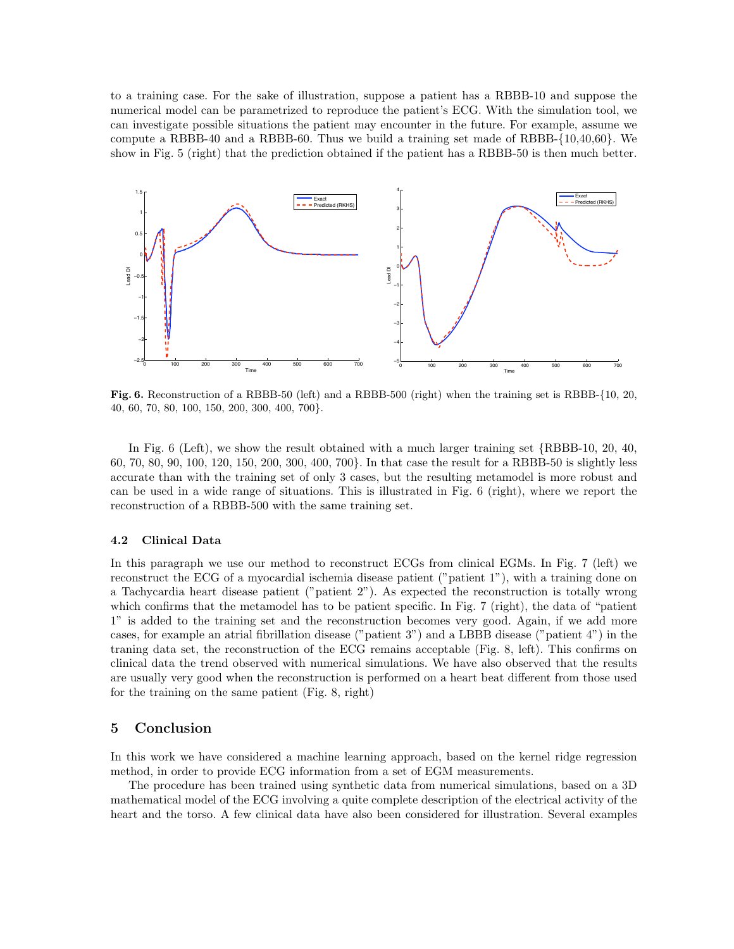to a training case. For the sake of illustration, suppose a patient has a RBBB-10 and suppose the numerical model can be parametrized to reproduce the patient's ECG. With the simulation tool, we can investigate possible situations the patient may encounter in the future. For example, assume we compute a RBBB-40 and a RBBB-60. Thus we build a training set made of RBBB-{10,40,60}. We show in Fig. 5 (right) that the prediction obtained if the patient has a RBBB-50 is then much better.



Fig. 6. Reconstruction of a RBBB-50 (left) and a RBBB-500 (right) when the training set is RBBB-{10, 20, 40, 60, 70, 80, 100, 150, 200, 300, 400, 700}.

In Fig. 6 (Left), we show the result obtained with a much larger training set {RBBB-10, 20, 40, 60, 70, 80, 90, 100, 120, 150, 200, 300, 400, 700}. In that case the result for a RBBB-50 is slightly less accurate than with the training set of only 3 cases, but the resulting metamodel is more robust and can be used in a wide range of situations. This is illustrated in Fig. 6 (right), where we report the reconstruction of a RBBB-500 with the same training set.

#### 4.2 Clinical Data

In this paragraph we use our method to reconstruct ECGs from clinical EGMs. In Fig. 7 (left) we reconstruct the ECG of a myocardial ischemia disease patient ("patient 1"), with a training done on a Tachycardia heart disease patient ("patient 2"). As expected the reconstruction is totally wrong which confirms that the metamodel has to be patient specific. In Fig. 7 (right), the data of "patient 1" is added to the training set and the reconstruction becomes very good. Again, if we add more cases, for example an atrial fibrillation disease ("patient 3") and a LBBB disease ("patient 4") in the traning data set, the reconstruction of the ECG remains acceptable (Fig. 8, left). This confirms on clinical data the trend observed with numerical simulations. We have also observed that the results are usually very good when the reconstruction is performed on a heart beat different from those used for the training on the same patient (Fig. 8, right)

# 5 Conclusion

In this work we have considered a machine learning approach, based on the kernel ridge regression method, in order to provide ECG information from a set of EGM measurements.

The procedure has been trained using synthetic data from numerical simulations, based on a 3D mathematical model of the ECG involving a quite complete description of the electrical activity of the heart and the torso. A few clinical data have also been considered for illustration. Several examples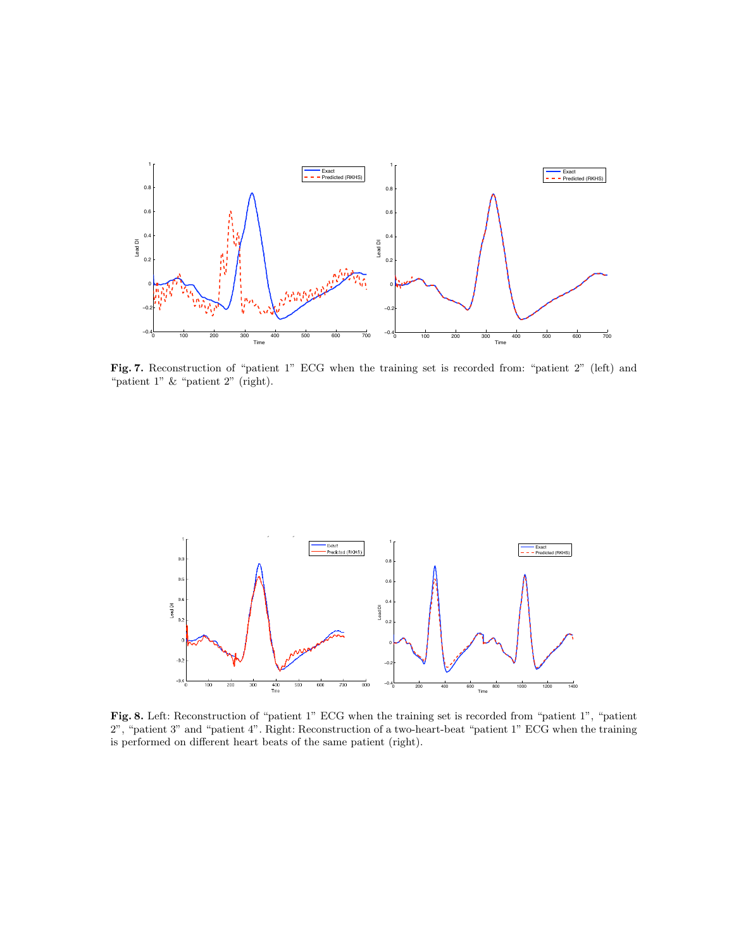

Fig. 7. Reconstruction of "patient 1" ECG when the training set is recorded from: "patient 2" (left) and "patient 1" & "patient 2" (right).



Fig. 8. Left: Reconstruction of "patient 1" ECG when the training set is recorded from "patient 1", "patient 2", "patient 3" and "patient 4". Right: Reconstruction of a two-heart-beat "patient 1" ECG when the training is performed on different heart beats of the same patient (right).